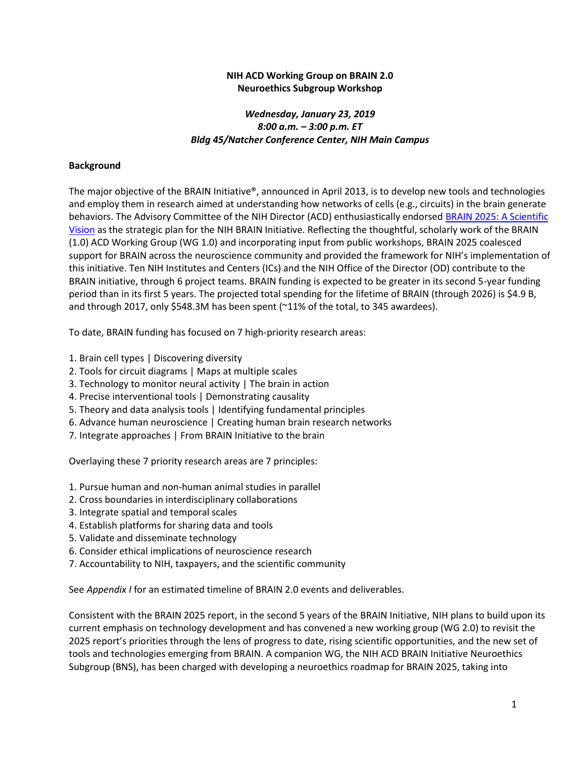## **NIH ACD Working Group on BRAIN 2.0 Neuroethics Subgroup Workshop**

# *Wednesday, January 23, 2019 8:00 a.m. – 3:00 p.m. ET Bldg 45/Natcher Conference Center, NIH Main Campus*

## **Background**

The major objective of the BRAIN Initiative®, announced in April 2013, is to develop new tools and technologies and employ them in research aimed at understanding how networks of cells (e.g., circuits) in the brain generate behaviors. The Advisory Committee of the NIH Director (ACD) enthusiastically endorsed [BRAIN 2025: A Scientific](https://www.braininitiative.nih.gov/2025/index.htm)  [Vision](https://www.braininitiative.nih.gov/2025/index.htm) as the strategic plan for the NIH BRAIN Initiative. Reflecting the thoughtful, scholarly work of the BRAIN (1.0) ACD Working Group (WG 1.0) and incorporating input from public workshops, BRAIN 2025 coalesced support for BRAIN across the neuroscience community and provided the framework for NIH's implementation of this initiative. Ten NIH Institutes and Centers (ICs) and the NIH Office of the Director (OD) contribute to the BRAIN initiative, through 6 project teams. BRAIN funding is expected to be greater in its second 5-year funding period than in its first 5 years. The projected total spending for the lifetime of BRAIN (through 2026) is \$4.9 B, and through 2017, only \$548.3M has been spent (~11% of the total, to 345 awardees).

To date, BRAIN funding has focused on 7 high-priority research areas:

- 1. Brain cell types | Discovering diversity
- 2. Tools for circuit diagrams | Maps at multiple scales
- 3. Technology to monitor neural activity | The brain in action
- 4. Precise interventional tools | Demonstrating causality
- 5. Theory and data analysis tools | Identifying fundamental principles
- 6. Advance human neuroscience | Creating human brain research networks
- 7. Integrate approaches | From BRAIN Initiative to the brain

Overlaying these 7 priority research areas are 7 principles:

- 1. Pursue human and non-human animal studies in parallel
- 2. Cross boundaries in interdisciplinary collaborations
- 3. Integrate spatial and temporal scales
- 4. Establish platforms for sharing data and tools
- 5. Validate and disseminate technology
- 6. Consider ethical implications of neuroscience research
- 7. Accountability to NIH, taxpayers, and the scientific community

See *Appendix I* for an estimated timeline of BRAIN 2.0 events and deliverables.

Consistent with the BRAIN 2025 report, in the second 5 years of the BRAIN Initiative, NIH plans to build upon its current emphasis on technology development and has convened a new working group (WG 2.0) to revisit the 2025 report's priorities through the lens of progress to date, rising scientific opportunities, and the new set of tools and technologies emerging from BRAIN. A companion WG, the NIH ACD BRAIN Initiative Neuroethics Subgroup (BNS), has been charged with developing a neuroethics roadmap for BRAIN 2025, taking into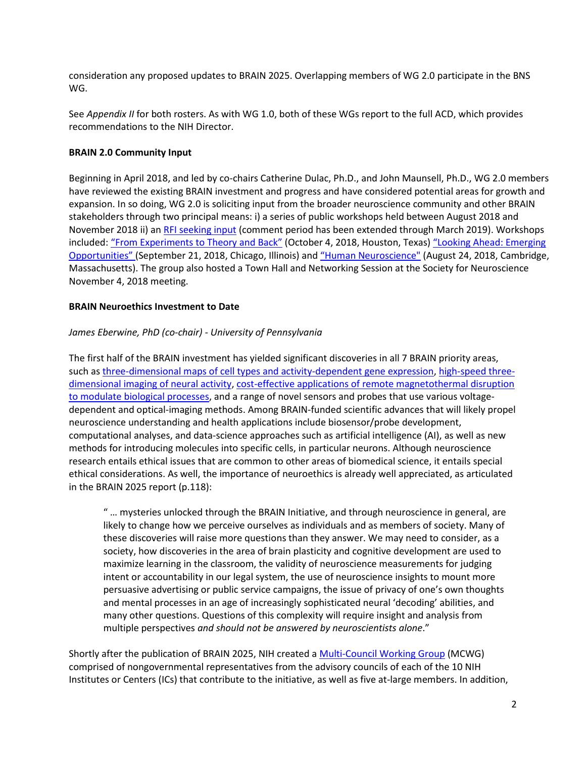consideration any proposed updates to BRAIN 2025. Overlapping members of WG 2.0 participate in the BNS WG.

See *Appendix II* for both rosters. As with WG 1.0, both of these WGs report to the full ACD, which provides recommendations to the NIH Director.

## **BRAIN 2.0 Community Input**

Beginning in April 2018, and led by co-chairs Catherine Dulac, Ph.D., and John Maunsell, Ph.D., WG 2.0 members have reviewed the existing BRAIN investment and progress and have considered potential areas for growth and expansion. In so doing, WG 2.0 is soliciting input from the broader neuroscience community and other BRAIN stakeholders through two principal means: i) a series of public workshops held between August 2018 and November 2018 ii) an [RFI seeking input](https://www.braininitiative.nih.gov/rfi.aspx) (comment period has been extended through March 2019). Workshops included: ["From Experiments to Theory and Back"](https://www.braininitiative.nih.gov/sites/default/files/pdfs/executive_summary_-_brain_workshop_houston_oct_4_2018_summary_508c.pdf) (October 4, 2018, Houston, Texas) "Looking Ahead: Emerging [Opportunities"](https://www.braininitiative.nih.gov/sites/default/files/pdfs/executive_summary_-_brain_workshop_chicago_sept_21_2018_summary_final_508c.pdf) (September 21, 2018, Chicago, Illinois) and ["Human Neuroscience"](https://www.braininitiative.nih.gov/sites/default/files/pdfs/executive_summary_-_brain_workshop_boston_aug_24_2018_summary_final_508c.pdf) (August 24, 2018, Cambridge, Massachusetts). The group also hosted a Town Hall and Networking Session at the Society for Neuroscience November 4, 2018 meeting.

### **BRAIN Neuroethics Investment to Date**

## *James Eberwine, PhD (co-chair) - University of Pennsylvania*

The first half of the BRAIN investment has yielded significant discoveries in all 7 BRAIN priority areas, such as [three-dimensional maps of cell types and activity-dependent gene expression,](https://www.ncbi.nlm.nih.gov/pmc/articles/PMC6339868/) [high-speed three](https://www.ncbi.nlm.nih.gov/pubmed/?term=29642044)[dimensional imaging of neural activity,](https://www.ncbi.nlm.nih.gov/pubmed/?term=29642044) cost-effective applications of remote magnetothermal disruption to modulate [biological processes,](https://www.ncbi.nlm.nih.gov/pmc/articles/PMC5648570/) and a range of novel sensors and probes that use various voltagedependent and optical-imaging methods. Among BRAIN-funded scientific advances that will likely propel neuroscience understanding and health applications include biosensor/probe development, computational analyses, and data-science approaches such as artificial intelligence (AI), as well as new methods for introducing molecules into specific cells, in particular neurons. Although neuroscience research entails ethical issues that are common to other areas of biomedical science, it entails special ethical considerations. As well, the importance of neuroethics is already well appreciated, as articulated in the BRAIN 2025 report (p.118):

" … mysteries unlocked through the BRAIN Initiative, and through neuroscience in general, are likely to change how we perceive ourselves as individuals and as members of society. Many of these discoveries will raise more questions than they answer. We may need to consider, as a society, how discoveries in the area of brain plasticity and cognitive development are used to maximize learning in the classroom, the validity of neuroscience measurements for judging intent or accountability in our legal system, the use of neuroscience insights to mount more persuasive advertising or public service campaigns, the issue of privacy of one's own thoughts and mental processes in an age of increasingly sophisticated neural 'decoding' abilities, and many other questions. Questions of this complexity will require insight and analysis from multiple perspectives *and should not be answered by neuroscientists alone*."

Shortly after the publication of BRAIN 2025, NIH created [a Multi-Council Working Group](https://www.braininitiative.nih.gov/about/multi-council-working-group) (MCWG) comprised of nongovernmental representatives from the advisory councils of each of the 10 NIH Institutes or Centers (ICs) that contribute to the initiative, as well as five at-large members. In addition,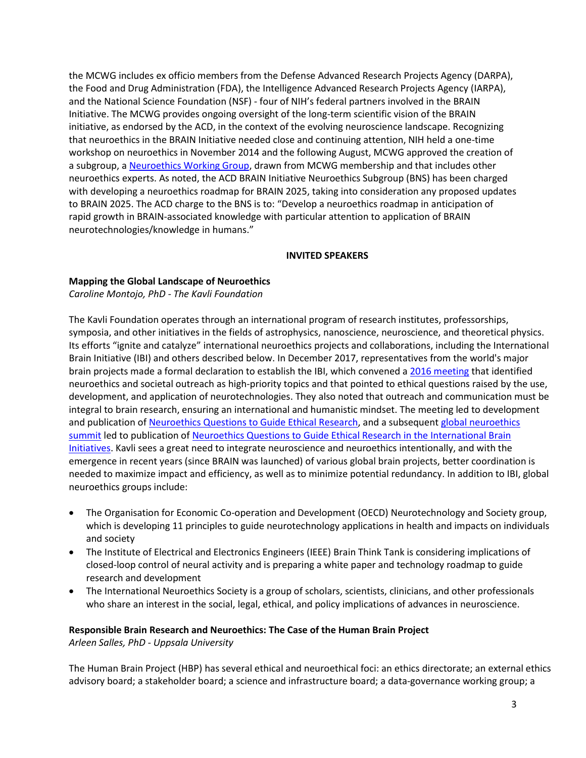the MCWG includes ex officio members from the Defense Advanced Research Projects Agency (DARPA), the Food and Drug Administration (FDA), the Intelligence Advanced Research Projects Agency (IARPA), and the National Science Foundation (NSF) - four of NIH's federal partners involved in the BRAIN Initiative. The MCWG provides ongoing oversight of the long-term scientific vision of the BRAIN initiative, as endorsed by the ACD, in the context of the evolving neuroscience landscape. Recognizing that neuroethics in the BRAIN Initiative needed close and continuing attention, NIH held a one-time workshop on neuroethics in November 2014 and the following August, MCWG approved the creation of a subgroup, a [Neuroethics Working Group,](https://www.braininitiative.nih.gov/about/neuroethics-working-group) drawn from MCWG membership and that includes other neuroethics experts. As noted, the ACD BRAIN Initiative Neuroethics Subgroup (BNS) has been charged with developing a neuroethics roadmap for BRAIN 2025, taking into consideration any proposed updates to BRAIN 2025. The ACD charge to the BNS is to: "Develop a neuroethics roadmap in anticipation of rapid growth in BRAIN-associated knowledge with particular attention to application of BRAIN neurotechnologies/knowledge in humans."

#### **INVITED SPEAKERS**

#### **Mapping the Global Landscape of Neuroethics**

*Caroline Montojo, PhD - The Kavli Foundation* 

The Kavli Foundation operates through an international program of research institutes, professorships, symposia, and other initiatives in the fields of astrophysics, nanoscience, neuroscience, and theoretical physics. Its efforts "ignite and catalyze" international neuroethics projects and collaborations, including the International Brain Initiative (IBI) and others described below. In December 2017, representatives from the world's major brain projects made a formal declaration to establish the IBI, which convened [a 2016 meeting](https://www.sciencedirect.com/science/article/pii/S0092867417302015?via%3Dihub) that identified neuroethics and societal outreach as high-priority topics and that pointed to ethical questions raised by the use, development, and application of neurotechnologies. They also noted that outreach and communication must be integral to brain research, ensuring an international and humanistic mindset. The meeting led to development and publication o[f Neuroethics Questions to Guide Ethical Research,](https://www.ncbi.nlm.nih.gov/pubmed/?term=30308169) and a subsequent [global neuroethics](https://globalneuroethicssummit.com/)  [summit](https://globalneuroethicssummit.com/) led to publication of [Neuroethics Questions to Guide Ethical Research in the International Brain](https://www.ncbi.nlm.nih.gov/pubmed/?term=30308169)  [Initiatives.](https://www.ncbi.nlm.nih.gov/pubmed/?term=30308169) Kavli sees a great need to integrate neuroscience and neuroethics intentionally, and with the emergence in recent years (since BRAIN was launched) of various global brain projects, better coordination is needed to maximize impact and efficiency, as well as to minimize potential redundancy. In addition to IBI, global neuroethics groups include:

- The Organisation for Economic Co-operation and Development (OECD) Neurotechnology and Society group, which is developing 11 principles to guide neurotechnology applications in health and impacts on individuals and society
- The Institute of Electrical and Electronics Engineers (IEEE) Brain Think Tank is considering implications of closed-loop control of neural activity and is preparing a white paper and technology roadmap to guide research and development
- The International Neuroethics Society is a group of scholars, scientists, clinicians, and other professionals who share an interest in the social, legal, ethical, and policy implications of advances in neuroscience.

# **Responsible Brain Research and Neuroethics: The Case of the Human Brain Project**

*Arleen Salles, PhD - Uppsala University*

The Human Brain Project (HBP) has several ethical and neuroethical foci: an ethics directorate; an external ethics advisory board; a stakeholder board; a science and infrastructure board; a data-governance working group; a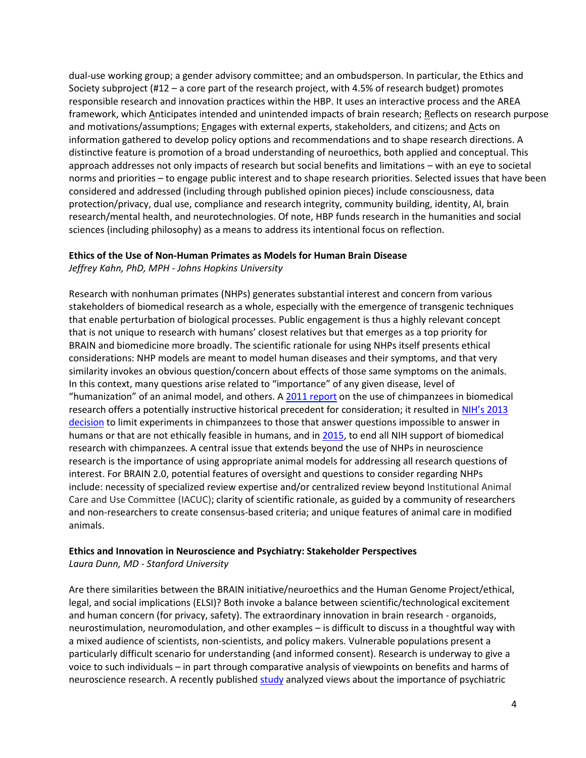dual-use working group; a gender advisory committee; and an ombudsperson. In particular, the Ethics and Society subproject (#12 – a core part of the research project, with 4.5% of research budget) promotes responsible research and innovation practices within the HBP. It uses an interactive process and the AREA framework, which Anticipates intended and unintended impacts of brain research; Reflects on research purpose and motivations/assumptions; Engages with external experts, stakeholders, and citizens; and Acts on information gathered to develop policy options and recommendations and to shape research directions. A distinctive feature is promotion of a broad understanding of neuroethics, both applied and conceptual. This approach addresses not only impacts of research but social benefits and limitations – with an eye to societal norms and priorities – to engage public interest and to shape research priorities. Selected issues that have been considered and addressed (including through published opinion pieces) include consciousness, data protection/privacy, dual use, compliance and research integrity, community building, identity, AI, brain research/mental health, and neurotechnologies. Of note, HBP funds research in the humanities and social sciences (including philosophy) as a means to address its intentional focus on reflection.

#### **Ethics of the Use of Non-Human Primates as Models for Human Brain Disease**

*Jeffrey Kahn, PhD, MPH - Johns Hopkins University*

Research with nonhuman primates (NHPs) generates substantial interest and concern from various stakeholders of biomedical research as a whole, especially with the emergence of transgenic techniques that enable perturbation of biological processes. Public engagement is thus a highly relevant concept that is not unique to research with humans' closest relatives but that emerges as a top priority for BRAIN and biomedicine more broadly. The scientific rationale for using NHPs itself presents ethical considerations: NHP models are meant to model human diseases and their symptoms, and that very similarity invokes an obvious question/concern about effects of those same symptoms on the animals. In this context, many questions arise related to "importance" of any given disease, level of "humanization" of an animal model, and others. A [2011 report](http://www.nationalacademies.org/hmd/Reports/2011/Chimpanzees-in-Biomedical-and-Behavioral-Research-Assessing-the-Necessity.aspx) on the use of chimpanzees in biomedical research offers a potentially instructive historical precedent for consideration; it resulted in NIH's 2013 [decision](http://www.nationalacademies.org/hmd/Reports/2011/Chimpanzees-in-Biomedical-and-Behavioral-Research-Assessing-the-Necessity/Action-Taken.aspx) to limit experiments in chimpanzees to those that answer questions impossible to answer in humans or that are not ethically feasible in humans, and in [2015,](https://www.nih.gov/about-nih/who-we-are/nih-director/statements/nih-will-no-longer-support-biomedical-research-chimpanzees) to end all NIH support of biomedical research with chimpanzees. A central issue that extends beyond the use of NHPs in neuroscience research is the importance of using appropriate animal models for addressing all research questions of interest. For BRAIN 2.0, potential features of oversight and questions to consider regarding NHPs include: necessity of specialized review expertise and/or centralized review beyond Institutional Animal Care and Use Committee (IACUC); clarity of scientific rationale, as guided by a community of researchers and non-researchers to create consensus-based criteria; and unique features of animal care in modified animals.

### **Ethics and Innovation in Neuroscience and Psychiatry: Stakeholder Perspectives**  *Laura Dunn, MD - Stanford University*

Are there similarities between the BRAIN initiative/neuroethics and the Human Genome Project/ethical, legal, and social implications (ELSI)? Both invoke a balance between scientific/technological excitement and human concern (for privacy, safety). The extraordinary innovation in brain research - organoids, neurostimulation, neuromodulation, and other examples – is difficult to discuss in a thoughtful way with a mixed audience of scientists, non-scientists, and policy makers. Vulnerable populations present a particularly difficult scenario for understanding (and informed consent). Research is underway to give a voice to such individuals – in part through comparative analysis of viewpoints on benefits and harms of neuroscience research. A recently published [study](https://www.sciencedirect.com/science/article/pii/S0022395618305910) analyzed views about the importance of psychiatric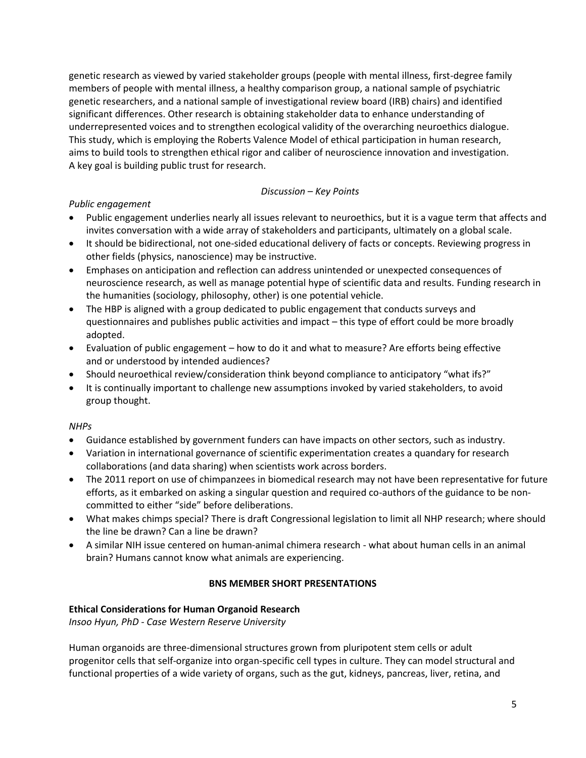genetic research as viewed by varied stakeholder groups (people with mental illness, first-degree family members of people with mental illness, a healthy comparison group, a national sample of psychiatric genetic researchers, and a national sample of investigational review board (IRB) chairs) and identified significant differences. Other research is obtaining stakeholder data to enhance understanding of underrepresented voices and to strengthen ecological validity of the overarching neuroethics dialogue. This study, which is employing the Roberts Valence Model of ethical participation in human research, aims to build tools to strengthen ethical rigor and caliber of neuroscience innovation and investigation. A key goal is building public trust for research.

## *Discussion – Key Points*

## *Public engagement*

- Public engagement underlies nearly all issues relevant to neuroethics, but it is a vague term that affects and invites conversation with a wide array of stakeholders and participants, ultimately on a global scale.
- It should be bidirectional, not one-sided educational delivery of facts or concepts. Reviewing progress in other fields (physics, nanoscience) may be instructive.
- Emphases on anticipation and reflection can address unintended or unexpected consequences of neuroscience research, as well as manage potential hype of scientific data and results. Funding research in the humanities (sociology, philosophy, other) is one potential vehicle.
- The HBP is aligned with a group dedicated to public engagement that conducts surveys and questionnaires and publishes public activities and impact – this type of effort could be more broadly adopted.
- Evaluation of public engagement how to do it and what to measure? Are efforts being effective and or understood by intended audiences?
- Should neuroethical review/consideration think beyond compliance to anticipatory "what ifs?"
- It is continually important to challenge new assumptions invoked by varied stakeholders, to avoid group thought.

# *NHPs*

- Guidance established by government funders can have impacts on other sectors, such as industry.
- Variation in international governance of scientific experimentation creates a quandary for research collaborations (and data sharing) when scientists work across borders.
- The 2011 report on use of chimpanzees in biomedical research may not have been representative for future efforts, as it embarked on asking a singular question and required co-authors of the guidance to be noncommitted to either "side" before deliberations.
- What makes chimps special? There is draft Congressional legislation to limit all NHP research; where should the line be drawn? Can a line be drawn?
- A similar NIH issue centered on human-animal chimera research what about human cells in an animal brain? Humans cannot know what animals are experiencing.

# **BNS MEMBER SHORT PRESENTATIONS**

# **Ethical Considerations for Human Organoid Research**

*Insoo Hyun, PhD - Case Western Reserve University*

Human organoids are three-dimensional structures grown from pluripotent stem cells or adult progenitor cells that self-organize into organ-specific cell types in culture. They can model structural and functional properties of a wide variety of organs, such as the gut, kidneys, pancreas, liver, retina, and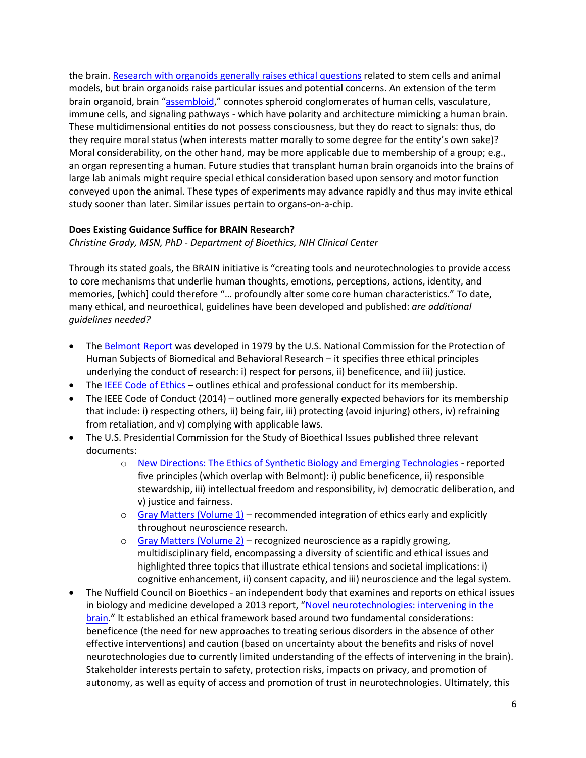the brain. [Research with organoids generally raises ethical questions](https://www.ncbi.nlm.nih.gov/pubmed/?term=28104841) related to stem cells and animal models, but brain organoids raise particular issues and potential concerns. An extension of the term brain organoid, brain "[assembloid](https://www.ncbi.nlm.nih.gov/pmc/articles/PMC5805137/)," connotes spheroid conglomerates of human cells, vasculature, immune cells, and signaling pathways - which have polarity and architecture mimicking a human brain. These multidimensional entities do not possess consciousness, but they do react to signals: thus, do they require moral status (when interests matter morally to some degree for the entity's own sake)? Moral considerability, on the other hand, may be more applicable due to membership of a group; e.g., an organ representing a human. Future studies that transplant human brain organoids into the brains of large lab animals might require special ethical consideration based upon sensory and motor function conveyed upon the animal. These types of experiments may advance rapidly and thus may invite ethical study sooner than later. Similar issues pertain to organs-on-a-chip.

### **Does Existing Guidance Suffice for BRAIN Research?**

*Christine Grady, MSN, PhD - Department of Bioethics, NIH Clinical Center*

Through its stated goals, the BRAIN initiative is "creating tools and neurotechnologies to provide access to core mechanisms that underlie human thoughts, emotions, perceptions, actions, identity, and memories, [which] could therefore "… profoundly alter some core human characteristics." To date, many ethical, and neuroethical, guidelines have been developed and published: *are additional guidelines needed?*

- The [Belmont Report](https://www.hhs.gov/ohrp/regulations-and-policy/belmont-report/read-the-belmont-report/index.html) was developed in 1979 by the U.S. National Commission for the Protection of Human Subjects of Biomedical and Behavioral Research – it specifies three ethical principles underlying the conduct of research: i) respect for persons, ii) beneficence, and iii) justice.
- The [IEEE Code of Ethics](https://www.ieee.org/about/corporate/governance/p7-8.html) outlines ethical and professional conduct for its membership.
- The IEEE Code of Conduct (2014) outlined more generally expected behaviors for its membership that include: i) respecting others, ii) being fair, iii) protecting (avoid injuring) others, iv) refraining from retaliation, and v) complying with applicable laws.
- The U.S. Presidential Commission for the Study of Bioethical Issues published three relevant documents:
	- o [New Directions: The Ethics of Synthetic Biology and Emerging Technologies](https://bioethicsarchive.georgetown.edu/pcsbi/synthetic-biology-report.html) reported five principles (which overlap with Belmont): i) public beneficence, ii) responsible stewardship, iii) intellectual freedom and responsibility, iv) democratic deliberation, and v) justice and fairness.
	- $\circ$  [Gray Matters \(Volume 1\)](https://bioethicsarchive.georgetown.edu/pcsbi/node/3543.html) recommended integration of ethics early and explicitly throughout neuroscience research.
	- $\circ$  [Gray Matters \(Volume 2\)](https://bioethicsarchive.georgetown.edu/pcsbi/node/4704.html) recognized neuroscience as a rapidly growing, multidisciplinary field, encompassing a diversity of scientific and ethical issues and highlighted three topics that illustrate ethical tensions and societal implications: i) cognitive enhancement, ii) consent capacity, and iii) neuroscience and the legal system.
- The Nuffield Council on Bioethics an independent body that examines and reports on ethical issues in biology and medicine developed a 2013 report, "Novel neurotechnologies: intervening in the [brain](http://nuffieldbioethics.org/project/neurotechnology)." It established an ethical framework based around two fundamental considerations: beneficence (the need for new approaches to treating serious disorders in the absence of other effective interventions) and caution (based on uncertainty about the benefits and risks of novel neurotechnologies due to currently limited understanding of the effects of intervening in the brain). Stakeholder interests pertain to safety, protection risks, impacts on privacy, and promotion of autonomy, as well as equity of access and promotion of trust in neurotechnologies. Ultimately, this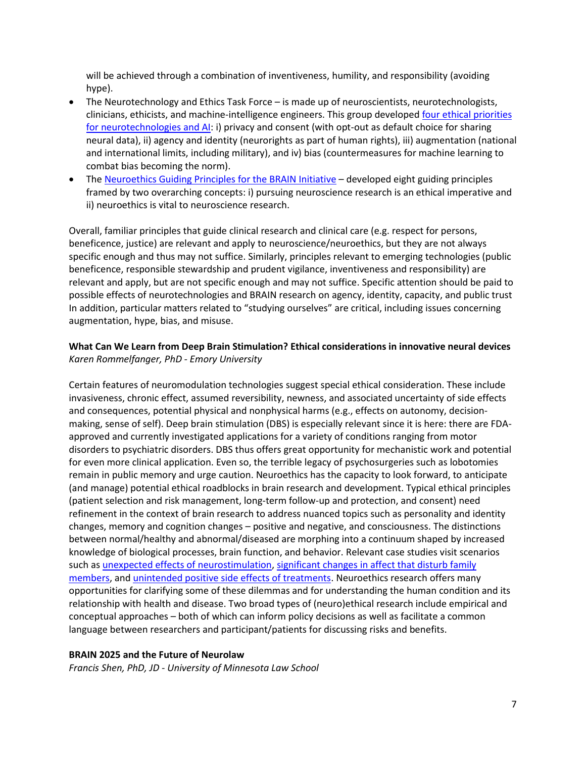will be achieved through a combination of inventiveness, humility, and responsibility (avoiding hype).

- The Neurotechnology and Ethics Task Force is made up of neuroscientists, neurotechnologists, clinicians, ethicists, and machine-intelligence engineers. This group developed [four ethical priorities](https://www.ncbi.nlm.nih.gov/pubmed/?term=29120438)  [for neurotechnologies and AI:](https://www.ncbi.nlm.nih.gov/pubmed/?term=29120438) i) privacy and consent (with opt-out as default choice for sharing neural data), ii) agency and identity (neurorights as part of human rights), iii) augmentation (national and international limits, including military), and iv) bias (countermeasures for machine learning to combat bias becoming the norm).
- The [Neuroethics Guiding Principles for the BRAIN Initiative](https://www.ncbi.nlm.nih.gov/pmc/articles/PMC6297371/) developed eight guiding principles framed by two overarching concepts: i) pursuing neuroscience research is an ethical imperative and ii) neuroethics is vital to neuroscience research.

Overall, familiar principles that guide clinical research and clinical care (e.g. respect for persons, beneficence, justice) are relevant and apply to neuroscience/neuroethics, but they are not always specific enough and thus may not suffice. Similarly, principles relevant to emerging technologies (public beneficence, responsible stewardship and prudent vigilance, inventiveness and responsibility) are relevant and apply, but are not specific enough and may not suffice. Specific attention should be paid to possible effects of neurotechnologies and BRAIN research on agency, identity, capacity, and public trust In addition, particular matters related to "studying ourselves" are critical, including issues concerning augmentation, hype, bias, and misuse.

#### **What Can We Learn from Deep Brain Stimulation? Ethical considerations in innovative neural devices** *Karen Rommelfanger, PhD - Emory University*

Certain features of neuromodulation technologies suggest special ethical consideration. These include invasiveness, chronic effect, assumed reversibility, newness, and associated uncertainty of side effects and consequences, potential physical and nonphysical harms (e.g., effects on autonomy, decisionmaking, sense of self). Deep brain stimulation (DBS) is especially relevant since it is here: there are FDAapproved and currently investigated applications for a variety of conditions ranging from motor disorders to psychiatric disorders. DBS thus offers great opportunity for mechanistic work and potential for even more clinical application. Even so, the terrible legacy of psychosurgeries such as lobotomies remain in public memory and urge caution. Neuroethics has the capacity to look forward, to anticipate (and manage) potential ethical roadblocks in brain research and development. Typical ethical principles (patient selection and risk management, long-term follow-up and protection, and consent) need refinement in the context of brain research to address nuanced topics such as personality and identity changes, memory and cognition changes – positive and negative, and consciousness. The distinctions between normal/healthy and abnormal/diseased are morphing into a continuum shaped by increased knowledge of biological processes, brain function, and behavior. Relevant case studies visit scenarios such as [unexpected effects of neurostimulation,](https://www.ncbi.nlm.nih.gov/pubmed/15291423?dopt=Abstract) [significant changes in affect that disturb family](https://journals.plos.org/plosone/article?id=10.1371/journal.pone.0175748)  [members,](https://journals.plos.org/plosone/article?id=10.1371/journal.pone.0175748) and [unintended positive side effects of treatments.](https://www.ncbi.nlm.nih.gov/pmc/articles/PMC3096836/) Neuroethics research offers many opportunities for clarifying some of these dilemmas and for understanding the human condition and its relationship with health and disease. Two broad types of (neuro)ethical research include empirical and conceptual approaches – both of which can inform policy decisions as well as facilitate a common language between researchers and participant/patients for discussing risks and benefits.

# **BRAIN 2025 and the Future of Neurolaw**

*Francis Shen, PhD, JD - University of Minnesota Law School*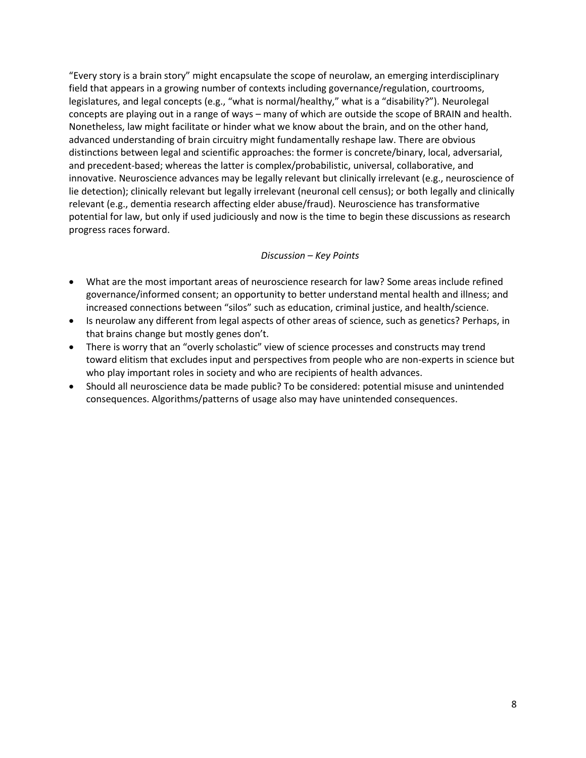"Every story is a brain story" might encapsulate the scope of neurolaw, an emerging interdisciplinary field that appears in a growing number of contexts including governance/regulation, courtrooms, legislatures, and legal concepts (e.g., "what is normal/healthy," what is a "disability?"). Neurolegal concepts are playing out in a range of ways – many of which are outside the scope of BRAIN and health. Nonetheless, law might facilitate or hinder what we know about the brain, and on the other hand, advanced understanding of brain circuitry might fundamentally reshape law. There are obvious distinctions between legal and scientific approaches: the former is concrete/binary, local, adversarial, and precedent-based; whereas the latter is complex/probabilistic, universal, collaborative, and innovative. Neuroscience advances may be legally relevant but clinically irrelevant (e.g., neuroscience of lie detection); clinically relevant but legally irrelevant (neuronal cell census); or both legally and clinically relevant (e.g., dementia research affecting elder abuse/fraud). Neuroscience has transformative potential for law, but only if used judiciously and now is the time to begin these discussions as research progress races forward.

#### *Discussion – Key Points*

- What are the most important areas of neuroscience research for law? Some areas include refined governance/informed consent; an opportunity to better understand mental health and illness; and increased connections between "silos" such as education, criminal justice, and health/science.
- Is neurolaw any different from legal aspects of other areas of science, such as genetics? Perhaps, in that brains change but mostly genes don't.
- There is worry that an "overly scholastic" view of science processes and constructs may trend toward elitism that excludes input and perspectives from people who are non-experts in science but who play important roles in society and who are recipients of health advances.
- Should all neuroscience data be made public? To be considered: potential misuse and unintended consequences. Algorithms/patterns of usage also may have unintended consequences.